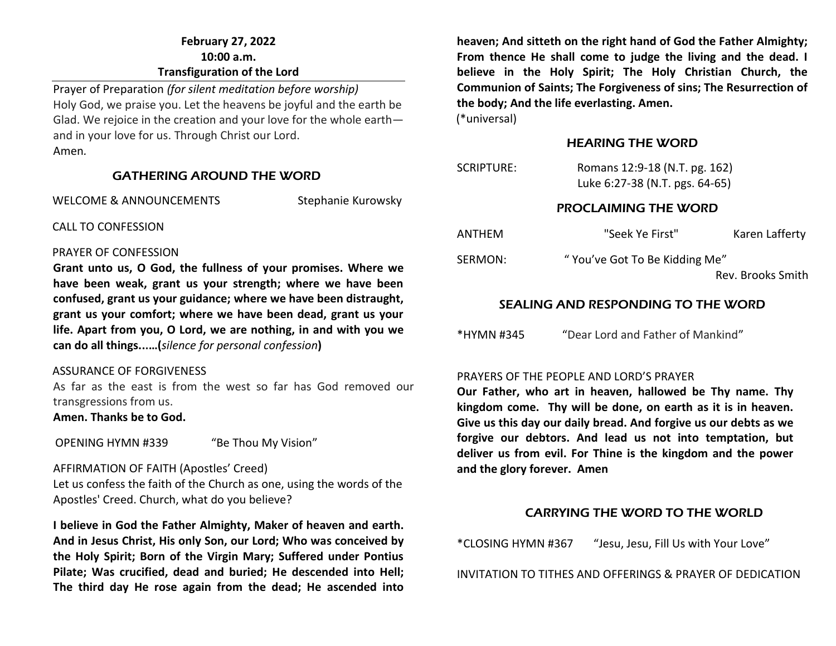# **February 27, 2022 10:00 a.m. Transfiguration of the Lord**

Prayer of Preparation *(for silent meditation before worship)* Holy God, we praise you. Let the heavens be joyful and the earth be Glad. We rejoice in the creation and your love for the whole earth and in your love for us. Through Christ our Lord. Amen*.* 

### GATHERING AROUND THE WORD

WELCOME & ANNOUNCEMENTS Stephanie Kurowsky

CALL TO CONFESSION

#### PRAYER OF CONFESSION

**Grant unto us, O God, the fullness of your promises. Where we have been weak, grant us your strength; where we have been confused, grant us your guidance; where we have been distraught, grant us your comfort; where we have been dead, grant us your life. Apart from you, O Lord, we are nothing, in and with you we can do all things...…(***silence for personal confession***)**

### ASSURANCE OF FORGIVENESS

As far as the east is from the west so far has God removed our transgressions from us.

### **Amen. Thanks be to God.**

OPENING HYMN #339 "Be Thou My Vision"

### AFFIRMATION OF FAITH (Apostles' Creed)

Let us confess the faith of the Church as one, using the words of the Apostles' Creed. Church, what do you believe?

**I believe in God the Father Almighty, Maker of heaven and earth. And in Jesus Christ, His only Son, our Lord; Who was conceived by the Holy Spirit; Born of the Virgin Mary; Suffered under Pontius Pilate; Was crucified, dead and buried; He descended into Hell; The third day He rose again from the dead; He ascended into** 

**heaven; And sitteth on the right hand of God the Father Almighty; From thence He shall come to judge the living and the dead. I believe in the Holy Spirit; The Holy Christian Church, the Communion of Saints; The Forgiveness of sins; The Resurrection of the body; And the life everlasting. Amen.**

(\*universal)

### HEARING THE WORD

| SCRIPTURE: | Romans 12:9-18 (N.T. pg. 162)  |  |
|------------|--------------------------------|--|
|            | Luke 6:27-38 (N.T. pgs. 64-65) |  |

### PROCLAIMING THE WORD

| ANTHEM  | "Seek Ye First"               | Karen Lafferty    |
|---------|-------------------------------|-------------------|
| SERMON: | "You've Got To Be Kidding Me" |                   |
|         |                               | Rev. Brooks Smith |

# SEALING AND RESPONDING TO THE WORD

\*HYMN #345 "Dear Lord and Father of Mankind"

### PRAYERS OF THE PEOPLE AND LORD'S PRAYER

**Our Father, who art in heaven, hallowed be Thy name. Thy kingdom come. Thy will be done, on earth as it is in heaven. Give us this day our daily bread. And forgive us our debts as we forgive our debtors. And lead us not into temptation, but deliver us from evil. For Thine is the kingdom and the power and the glory forever. Amen**

# CARRYING THE WORD TO THE WORLD

\*CLOSING HYMN #367 "Jesu, Jesu, Fill Us with Your Love"

INVITATION TO TITHES AND OFFERINGS & PRAYER OF DEDICATION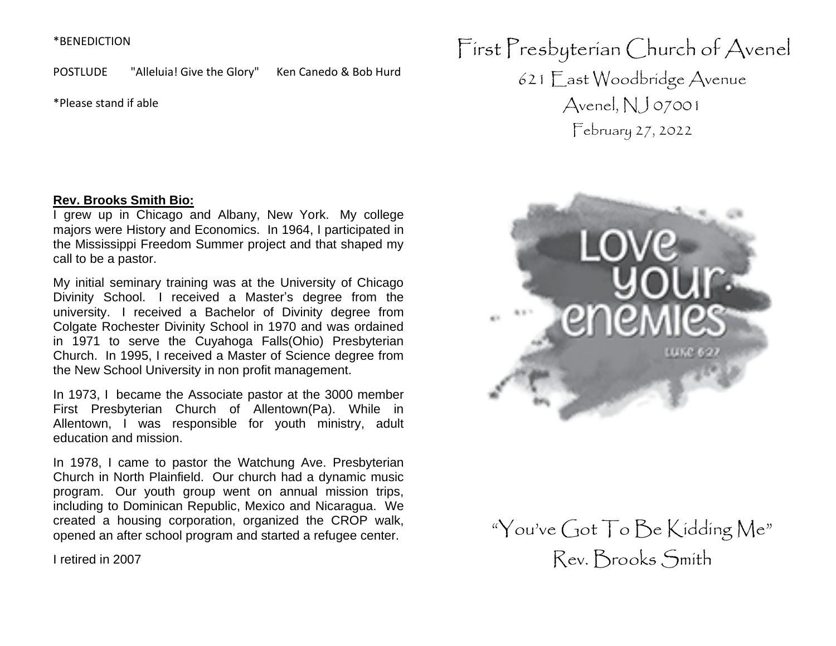### \*BENEDICTION

POSTLUDE "Alleluia! Give the Glory" Ken Canedo & Bob Hurd

\*Please stand if able

First Presbyterian Church of Avenel 621 East Woodbridge Avenue Avenel,  $NJ$  07001 February 27, 2022

### **Rev. Brooks Smith Bio:**

I grew up in Chicago and Albany, New York. My college majors were History and Economics. In 1964, I participated in the Mississippi Freedom Summer project and that shaped my call to be a pastor.

My initial seminary training was at the University of Chicago Divinity School. I received a Master's degree from the university. I received a Bachelor of Divinity degree from Colgate Rochester Divinity School in 1970 and was ordained in 1971 to serve the Cuyahoga Falls(Ohio) Presbyterian Church. In 1995, I received a Master of Science degree from the New School University in non profit management.

In 1973, I became the Associate pastor at the 3000 member First Presbyterian Church of Allentown(Pa). While in Allentown, I was responsible for youth ministry, adult education and mission.

In 1978, I came to pastor the Watchung Ave. Presbyterian Church in North Plainfield. Our church had a dynamic music program. Our youth group went on annual mission trips, including to Dominican Republic, Mexico and Nicaragua. We created a housing corporation, organized the CROP walk, opened an after school program and started a refugee center.

I retired in 2007



"You've Got To Be Kidding Me" Rev. Brooks Smith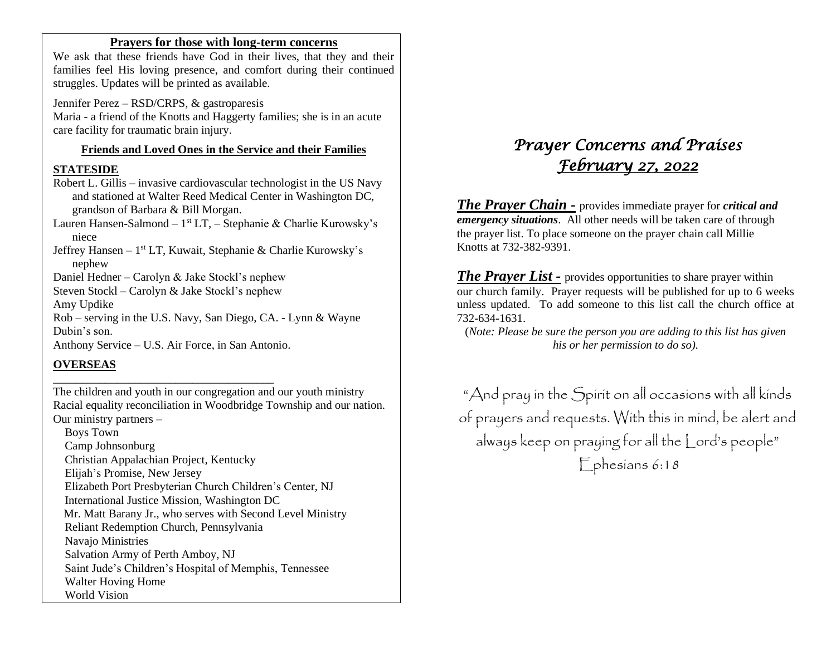### **Prayers for those with long-term concerns**

We ask that these friends have God in their lives, that they and their families feel His loving presence, and comfort during their continued struggles. Updates will be printed as available.

Jennifer Perez – RSD/CRPS, & gastroparesis Maria - a friend of the Knotts and Haggerty families; she is in an acute care facility for traumatic brain injury.

# **Friends and Loved Ones in the Service and their Families**

### **STATESIDE**

Robert L. Gillis – invasive cardiovascular technologist in the US Navy and stationed at Walter Reed Medical Center in Washington DC, grandson of Barbara & Bill Morgan.

Lauren Hansen-Salmond – 1<sup>st</sup> LT, – Stephanie & Charlie Kurowsky's niece

Jeffrey Hansen - 1<sup>st</sup> LT, Kuwait, Stephanie & Charlie Kurowsky's nephew

Daniel Hedner – Carolyn & Jake Stockl's nephew

Steven Stockl – Carolyn & Jake Stockl's nephew

Amy Updike

Rob – serving in the U.S. Navy, San Diego, CA. - Lynn & Wayne Dubin's son.

Anthony Service – U.S. Air Force, in San Antonio.

\_\_\_\_\_\_\_\_\_\_\_\_\_\_\_\_\_\_\_\_\_\_\_\_\_\_\_\_\_\_\_\_\_\_\_\_\_\_

# **OVERSEAS**

The children and youth in our congregation and our youth ministry Racial equality reconciliation in Woodbridge Township and our nation. Our ministry partners –

 Boys Town Camp Johnsonburg Christian Appalachian Project, Kentucky Elijah's Promise, New Jersey Elizabeth Port Presbyterian Church Children's Center, NJ International Justice Mission, Washington DC Mr. Matt Barany Jr., who serves with Second Level Ministry Reliant Redemption Church, Pennsylvania Navajo Ministries Salvation Army of Perth Amboy, NJ Saint Jude's Children's Hospital of Memphis, Tennessee Walter Hoving Home World Vision

# *Prayer Concerns and Praises February 27, 2022*

*The Prayer Chain -* provides immediate prayer for *critical and emergency situations*. All other needs will be taken care of through the prayer list. To place someone on the prayer chain call Millie Knotts at 732-382-9391.

*The Prayer List -* provides opportunities to share prayer within our church family. Prayer requests will be published for up to 6 weeks unless updated. To add someone to this list call the church office at 732-634-1631.

(*Note: Please be sure the person you are adding to this list has given his or her permission to do so).*

"And pray in the Spirit on all occasions with all kinds of prayers and requests. With this in mind, be alert and always keep on praying for all the Lord's people" Ephesians 6:18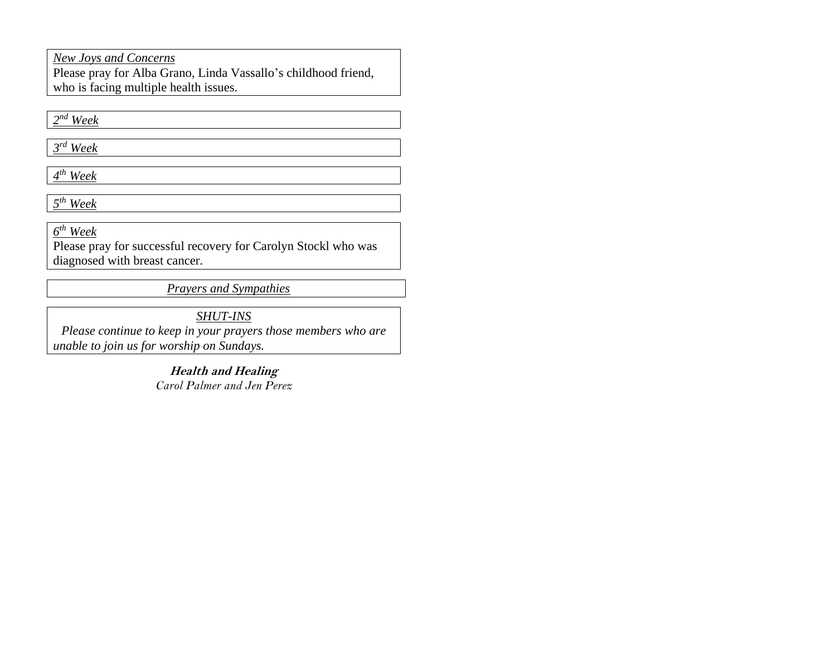*New Joys and Concerns*

Please pray for Alba Grano, Linda Vassallo's childhood friend, who is facing multiple health issues.

*2 nd Week*

*3 rd Week*

*4 th Week*

*5 th Week*

*6 th Week* 

Please pray for successful recovery for Carolyn Stockl who was diagnosed with breast cancer.

*Prayers and Sympathies*

*SHUT-INS*

*Please continue to keep in your prayers those members who are unable to join us for worship on Sundays.* 

> **Health and Healing** *Carol Palmer and Jen Perez*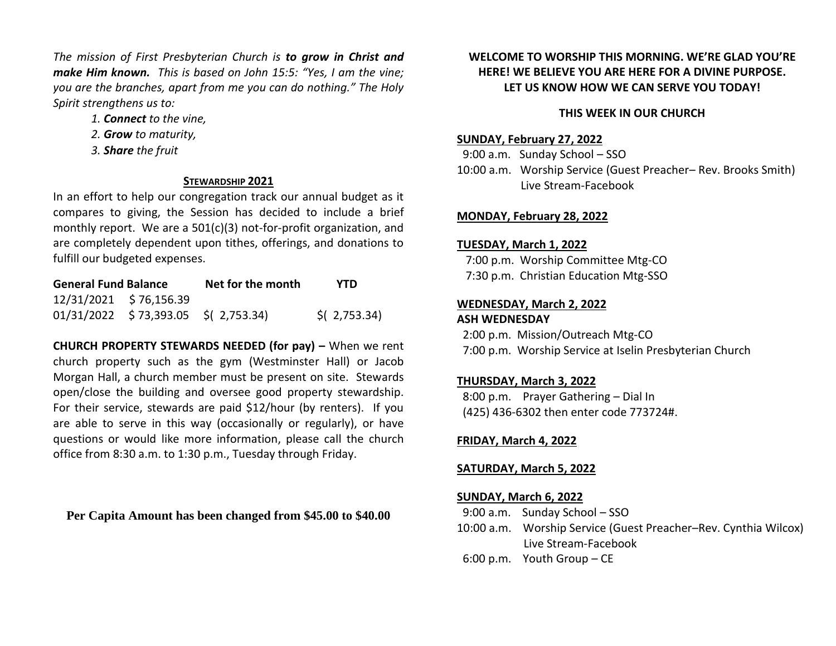*The mission of First Presbyterian Church is to grow in Christ and make Him known. This is based on John 15:5: "Yes, I am the vine; you are the branches, apart from me you can do nothing." The Holy Spirit strengthens us to:* 

- *1. Connect to the vine,*
- *2. Grow to maturity,*
- *3. Share the fruit*

### **STEWARDSHIP 2021**

In an effort to help our congregation track our annual budget as it compares to giving, the Session has decided to include a brief monthly report. We are a 501(c)(3) not-for-profit organization, and are completely dependent upon tithes, offerings, and donations to fulfill our budgeted expenses.

| <b>General Fund Balance</b> |                                       | Net for the month | <b>YTD</b>                |
|-----------------------------|---------------------------------------|-------------------|---------------------------|
|                             | 12/31/2021 \$76,156.39                |                   |                           |
|                             | $01/31/2022$ \$73,393.05 \$(2,753.34) |                   | $\frac{1}{2}$ ( 2,753.34) |

**CHURCH PROPERTY STEWARDS NEEDED (for pay) –** When we rent church property such as the gym (Westminster Hall) or Jacob Morgan Hall, a church member must be present on site. Stewards open/close the building and oversee good property stewardship. For their service, stewards are paid \$12/hour (by renters). If you are able to serve in this way (occasionally or regularly), or have questions or would like more information, please call the church office from 8:30 a.m. to 1:30 p.m., Tuesday through Friday.

**Per Capita Amount has been changed from \$45.00 to \$40.00**

# **WELCOME TO WORSHIP THIS MORNING. WE'RE GLAD YOU'RE HERE! WE BELIEVE YOU ARE HERE FOR A DIVINE PURPOSE. LET US KNOW HOW WE CAN SERVE YOU TODAY!**

### **THIS WEEK IN OUR CHURCH**

### **SUNDAY, February 27, 2022**

9:00 a.m. Sunday School – SSO 10:00 a.m. Worship Service (Guest Preacher– Rev. Brooks Smith) Live Stream-Facebook

### **MONDAY, February 28, 2022**

### **TUESDAY, March 1, 2022**

 7:00 p.m. Worship Committee Mtg-CO 7:30 p.m. Christian Education Mtg-SSO

## **WEDNESDAY, March 2, 2022 ASH WEDNESDAY**

 2:00 p.m. Mission/Outreach Mtg-CO 7:00 p.m. Worship Service at Iselin Presbyterian Church

# **THURSDAY, March 3, 2022**

 8:00 p.m. Prayer Gathering – Dial In (425) 436-6302 then enter code 773724#.

### **FRIDAY, March 4, 2022**

### **SATURDAY, March 5, 2022**

### **SUNDAY, March 6, 2022**

- 9:00 a.m. Sunday School SSO
- 10:00 a.m. Worship Service (Guest Preacher–Rev. Cynthia Wilcox) Live Stream-Facebook
- 6:00 p.m. Youth Group CE